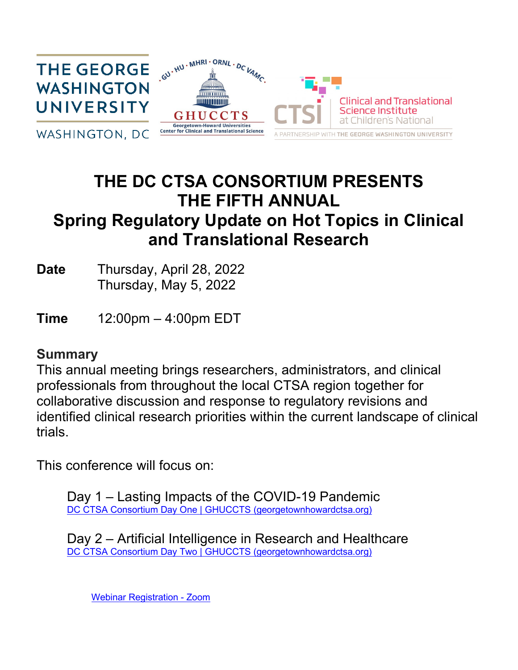

# **THE DC CTSA CONSORTIUM PRESENTS THE FIFTH ANNUAL Spring Regulatory Update on Hot Topics in Clinical and Translational Research**

**Date** Thursday, April 28, 2022 Thursday, May 5, 2022

**Time** 12:00pm – 4:00pm EDT

# **Summary**

This annual meeting brings researchers, administrators, and clinical professionals from throughout the local CTSA region together for collaborative discussion and response to regulatory revisions and identified clinical research priorities within the current landscape of clinical trials.

This conference will focus on:

Day 1 – Lasting Impacts of the COVID-19 Pandemic [DC CTSA Consortium Day One | GHUCCTS \(georgetownhowardctsa.org\)](http://www.georgetownhowardctsa.org/news-events/event-calendar/fifth-annual-dc-ctsa-spring-regulatory-update-hot-topics-in-clinical-and-translational-research-04282022)

Day 2 – Artificial Intelligence in Research and Healthcare DC CTSA Consortium Day [Two | GHUCCTS \(georgetownhowardctsa.org\)](http://www.georgetownhowardctsa.org/news-events/event-calendar/fifth-annual-dc-ctsa-spring-regulatory-update-hot-topics-in-clinical-and-translational-research-05052022)

[Webinar Registration - Zoom](https://georgetown.zoom.us/webinar/register/WN_KRT61bmTR5an_QMw82KDSA)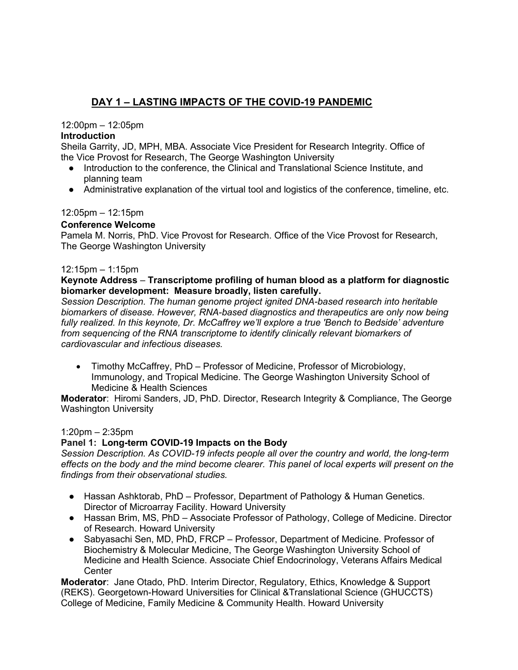# **DAY 1 – LASTING IMPACTS OF THE COVID-19 PANDEMIC**

# 12:00pm – 12:05pm

# **Introduction**

Sheila Garrity, JD, MPH, MBA. Associate Vice President for Research Integrity. Office of the Vice Provost for Research, The George Washington University

- Introduction to the conference, the Clinical and Translational Science Institute, and planning team
- Administrative explanation of the virtual tool and logistics of the conference, timeline, etc.

# 12:05pm – 12:15pm

# **Conference Welcome**

Pamela M. Norris, PhD. Vice Provost for Research. Office of the Vice Provost for Research, The George Washington University

#### 12:15pm – 1:15pm

#### **Keynote Address** – **Transcriptome profiling of human blood as a platform for diagnostic biomarker development: Measure broadly, listen carefully.**

*Session Description. The human genome project ignited DNA-based research into heritable biomarkers of disease. However, RNA-based diagnostics and therapeutics are only now being fully realized. In this keynote, Dr. McCaffrey we'll explore a true 'Bench to Bedside' adventure from sequencing of the RNA transcriptome to identify clinically relevant biomarkers of cardiovascular and infectious diseases.*

• Timothy McCaffrey, PhD – Professor of Medicine, Professor of Microbiology, Immunology, and Tropical Medicine. The George Washington University School of Medicine & Health Sciences

**Moderator**: Hiromi Sanders, JD, PhD. Director, Research Integrity & Compliance, The George Washington University

#### 1:20pm – 2:35pm

#### **Panel 1: Long-term COVID-19 Impacts on the Body**

*Session Description. As COVID-19 infects people all over the country and world, the long-term effects on the body and the mind become clearer. This panel of local experts will present on the findings from their observational studies.* 

- Hassan Ashktorab, PhD Professor, Department of Pathology & Human Genetics. Director of Microarray Facility. Howard University
- Hassan Brim, MS, PhD Associate Professor of Pathology, College of Medicine. Director of Research. Howard University
- Sabyasachi Sen, MD, PhD, FRCP Professor, Department of Medicine. Professor of Biochemistry & Molecular Medicine, The George Washington University School of Medicine and Health Science. Associate Chief Endocrinology, Veterans Affairs Medical Center

**Moderator**: Jane Otado, PhD. Interim Director, Regulatory, Ethics, Knowledge & Support (REKS). Georgetown-Howard Universities for Clinical &Translational Science (GHUCCTS) College of Medicine, Family Medicine & Community Health. Howard University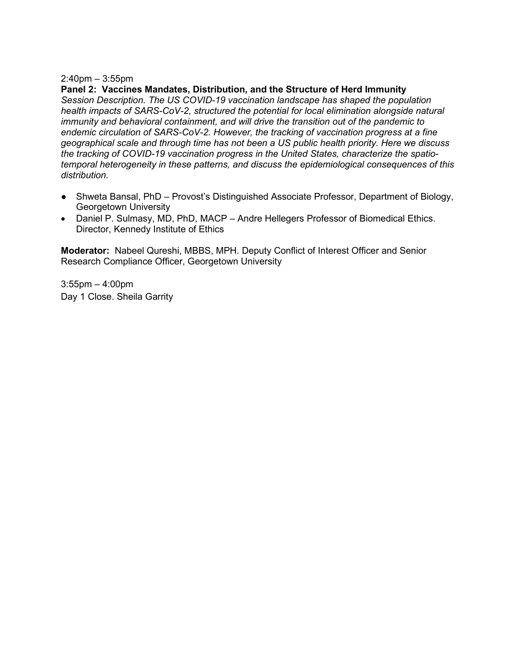#### 2:40pm – 3:55pm

#### **Panel 2: Vaccines Mandates, Distribution, and the Structure of Herd Immunity**

*Session Description. The US COVID-19 vaccination landscape has shaped the population health impacts of SARS-CoV-2, structured the potential for local elimination alongside natural immunity and behavioral containment, and will drive the transition out of the pandemic to endemic circulation of SARS-CoV-2. However, the tracking of vaccination progress at a fine geographical scale and through time has not been a US public health priority. Here we discuss the tracking of COVID-19 vaccination progress in the United States, characterize the spatiotemporal heterogeneity in these patterns, and discuss the epidemiological consequences of this distribution.*

- Shweta Bansal, PhD Provost's Distinguished Associate Professor, Department of Biology, Georgetown University
- Daniel P. Sulmasy, MD, PhD, MACP Andre Hellegers Professor of Biomedical Ethics. Director, Kennedy Institute of Ethics

**Moderator:** Nabeel Qureshi, MBBS, MPH. Deputy Conflict of Interest Officer and Senior Research Compliance Officer, Georgetown University

3:55pm – 4:00pm Day 1 Close. Sheila Garrity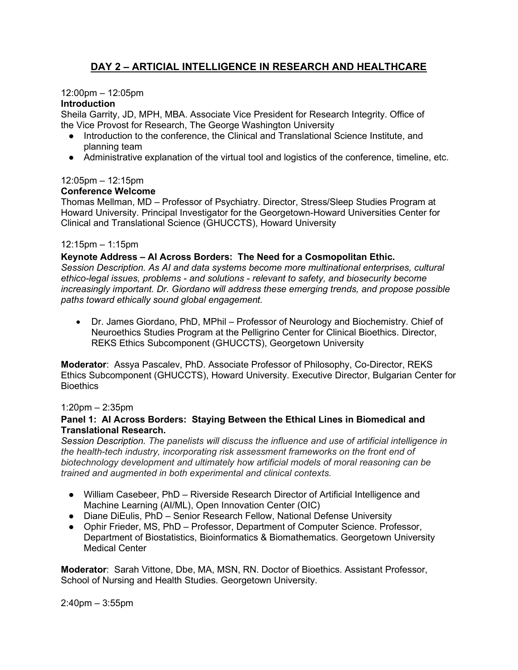# **DAY 2 – ARTICIAL INTELLIGENCE IN RESEARCH AND HEALTHCARE**

# 12:00pm – 12:05pm

# **Introduction**

Sheila Garrity, JD, MPH, MBA. Associate Vice President for Research Integrity. Office of the Vice Provost for Research, The George Washington University

- Introduction to the conference, the Clinical and Translational Science Institute, and planning team
- Administrative explanation of the virtual tool and logistics of the conference, timeline, etc.

# 12:05pm – 12:15pm

# **Conference Welcome**

Thomas Mellman, MD – Professor of Psychiatry. Director, Stress/Sleep Studies Program at Howard University. Principal Investigator for the Georgetown-Howard Universities Center for Clinical and Translational Science (GHUCCTS), Howard University

# 12:15pm – 1:15pm

# **Keynote Address – AI Across Borders: The Need for a Cosmopolitan Ethic.**

*Session Description. As AI and data systems become more multinational enterprises, cultural ethico-legal issues, problems - and solutions - relevant to safety, and biosecurity become increasingly important. Dr. Giordano will address these emerging trends, and propose possible paths toward ethically sound global engagement.*

• Dr. James Giordano, PhD, MPhil – Professor of Neurology and Biochemistry. Chief of Neuroethics Studies Program at the Pelligrino Center for Clinical Bioethics. Director, REKS Ethics Subcomponent (GHUCCTS), Georgetown University

**Moderator**: Assya Pascalev, PhD. Associate Professor of Philosophy, Co-Director, REKS Ethics Subcomponent (GHUCCTS), Howard University. Executive Director, Bulgarian Center for **Bioethics** 

# 1:20pm – 2:35pm

#### **Panel 1: AI Across Borders: Staying Between the Ethical Lines in Biomedical and Translational Research.**

*Session Description. The panelists will discuss the influence and use of artificial intelligence in the health-tech industry, incorporating risk assessment frameworks on the front end of biotechnology development and ultimately how artificial models of moral reasoning can be trained and augmented in both experimental and clinical contexts.*

- William Casebeer, PhD Riverside Research Director of Artificial Intelligence and Machine Learning (AI/ML), Open Innovation Center (OIC)
- Diane DiEulis, PhD Senior Research Fellow, National Defense University
- Ophir Frieder, MS, PhD Professor, Department of Computer Science. Professor, Department of Biostatistics, Bioinformatics & Biomathematics. Georgetown University Medical Center

**Moderator**: Sarah Vittone, Dbe, MA, MSN, RN. Doctor of Bioethics. Assistant Professor, School of Nursing and Health Studies. Georgetown University.

2:40pm – 3:55pm